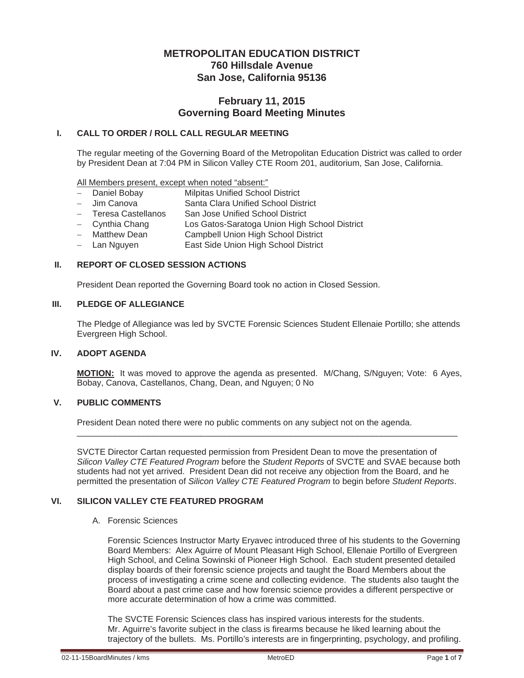# **METROPOLITAN EDUCATION DISTRICT 760 Hillsdale Avenue San Jose, California 95136**

# **February 11, 2015 Governing Board Meeting Minutes**

## **I. CALL TO ORDER / ROLL CALL REGULAR MEETING**

The regular meeting of the Governing Board of the Metropolitan Education District was called to order by President Dean at 7:04 PM in Silicon Valley CTE Room 201, auditorium, San Jose, California.

All Members present, except when noted "absent:"

- Daniel Bobay Milpitas Unified School District
- Jim Canova Santa Clara Unified School District
- Teresa Castellanos San Jose Unified School District
- Cynthia Chang Los Gatos-Saratoga Union High School District
- Matthew Dean Campbell Union High School District
- Lan Nguyen **East Side Union High School District**

### **II. REPORT OF CLOSED SESSION ACTIONS**

President Dean reported the Governing Board took no action in Closed Session.

#### **III. PLEDGE OF ALLEGIANCE**

The Pledge of Allegiance was led by SVCTE Forensic Sciences Student Ellenaie Portillo; she attends Evergreen High School.

### **IV. ADOPT AGENDA**

**MOTION:** It was moved to approve the agenda as presented. M/Chang, S/Nguyen; Vote: 6 Ayes, Bobay, Canova, Castellanos, Chang, Dean, and Nguyen; 0 No

### **V. PUBLIC COMMENTS**

President Dean noted there were no public comments on any subject not on the agenda.

SVCTE Director Cartan requested permission from President Dean to move the presentation of *Silicon Valley CTE Featured Program* before the *Student Reports* of SVCTE and SVAE because both students had not yet arrived. President Dean did not receive any objection from the Board, and he permitted the presentation of *Silicon Valley CTE Featured Program* to begin before *Student Reports*.

\_\_\_\_\_\_\_\_\_\_\_\_\_\_\_\_\_\_\_\_\_\_\_\_\_\_\_\_\_\_\_\_\_\_\_\_\_\_\_\_\_\_\_\_\_\_\_\_\_\_\_\_\_\_\_\_\_\_\_\_\_\_\_\_\_\_\_\_\_\_\_\_\_\_\_\_\_\_\_\_

## **VI. SILICON VALLEY CTE FEATURED PROGRAM**

A. Forensic Sciences

Forensic Sciences Instructor Marty Eryavec introduced three of his students to the Governing Board Members: Alex Aguirre of Mount Pleasant High School, Ellenaie Portillo of Evergreen High School, and Celina Sowinski of Pioneer High School. Each student presented detailed display boards of their forensic science projects and taught the Board Members about the process of investigating a crime scene and collecting evidence. The students also taught the Board about a past crime case and how forensic science provides a different perspective or more accurate determination of how a crime was committed.

The SVCTE Forensic Sciences class has inspired various interests for the students. Mr. Aguirre's favorite subject in the class is firearms because he liked learning about the trajectory of the bullets. Ms. Portillo's interests are in fingerprinting, psychology, and profiling.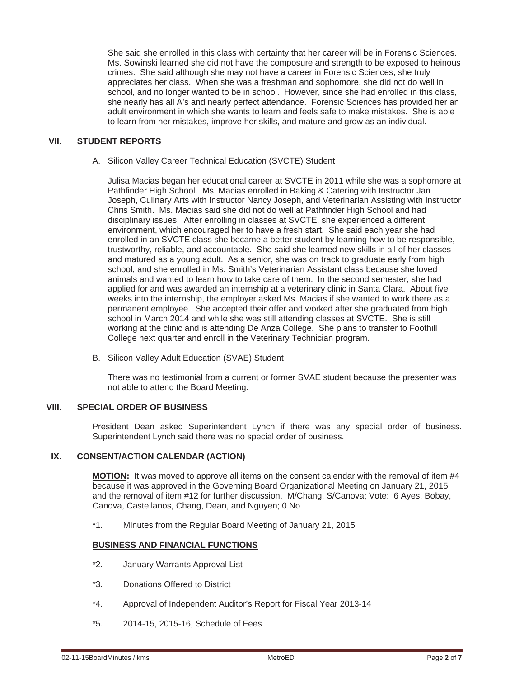She said she enrolled in this class with certainty that her career will be in Forensic Sciences. Ms. Sowinski learned she did not have the composure and strength to be exposed to heinous crimes. She said although she may not have a career in Forensic Sciences, she truly appreciates her class. When she was a freshman and sophomore, she did not do well in school, and no longer wanted to be in school. However, since she had enrolled in this class, she nearly has all A's and nearly perfect attendance. Forensic Sciences has provided her an adult environment in which she wants to learn and feels safe to make mistakes. She is able to learn from her mistakes, improve her skills, and mature and grow as an individual.

## **VII. STUDENT REPORTS**

A. Silicon Valley Career Technical Education (SVCTE) Student

Julisa Macias began her educational career at SVCTE in 2011 while she was a sophomore at Pathfinder High School. Ms. Macias enrolled in Baking & Catering with Instructor Jan Joseph, Culinary Arts with Instructor Nancy Joseph, and Veterinarian Assisting with Instructor Chris Smith. Ms. Macias said she did not do well at Pathfinder High School and had disciplinary issues. After enrolling in classes at SVCTE, she experienced a different environment, which encouraged her to have a fresh start. She said each year she had enrolled in an SVCTE class she became a better student by learning how to be responsible, trustworthy, reliable, and accountable. She said she learned new skills in all of her classes and matured as a young adult. As a senior, she was on track to graduate early from high school, and she enrolled in Ms. Smith's Veterinarian Assistant class because she loved animals and wanted to learn how to take care of them. In the second semester, she had applied for and was awarded an internship at a veterinary clinic in Santa Clara. About five weeks into the internship, the employer asked Ms. Macias if she wanted to work there as a permanent employee. She accepted their offer and worked after she graduated from high school in March 2014 and while she was still attending classes at SVCTE. She is still working at the clinic and is attending De Anza College. She plans to transfer to Foothill College next quarter and enroll in the Veterinary Technician program.

B. Silicon Valley Adult Education (SVAE) Student

There was no testimonial from a current or former SVAE student because the presenter was not able to attend the Board Meeting.

### **VIII. SPECIAL ORDER OF BUSINESS**

President Dean asked Superintendent Lynch if there was any special order of business. Superintendent Lynch said there was no special order of business.

### **IX. CONSENT/ACTION CALENDAR (ACTION)**

**MOTION:** It was moved to approve all items on the consent calendar with the removal of item #4 because it was approved in the Governing Board Organizational Meeting on January 21, 2015 and the removal of item #12 for further discussion. M/Chang, S/Canova; Vote: 6 Ayes, Bobay, Canova, Castellanos, Chang, Dean, and Nguyen; 0 No

\*1. Minutes from the Regular Board Meeting of January 21, 2015

## **BUSINESS AND FINANCIAL FUNCTIONS**

- \*2. January Warrants Approval List
- \*3. Donations Offered to District
- \*4. Approval of Independent Auditor's Report for Fiscal Year 2013-14
- \*5. 2014-15, 2015-16, Schedule of Fees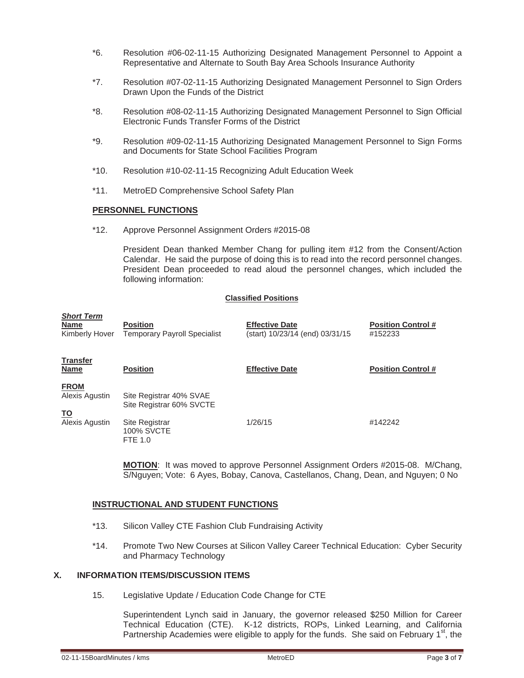- \*6. Resolution #06-02-11-15 Authorizing Designated Management Personnel to Appoint a Representative and Alternate to South Bay Area Schools Insurance Authority
- \*7. Resolution #07-02-11-15 Authorizing Designated Management Personnel to Sign Orders Drawn Upon the Funds of the District
- \*8. Resolution #08-02-11-15 Authorizing Designated Management Personnel to Sign Official Electronic Funds Transfer Forms of the District
- \*9. Resolution #09-02-11-15 Authorizing Designated Management Personnel to Sign Forms and Documents for State School Facilities Program
- \*10. Resolution #10-02-11-15 Recognizing Adult Education Week
- \*11. MetroED Comprehensive School Safety Plan

#### **PERSONNEL FUNCTIONS**

\*12. Approve Personnel Assignment Orders #2015-08

 President Dean thanked Member Chang for pulling item #12 from the Consent/Action Calendar. He said the purpose of doing this is to read into the record personnel changes. President Dean proceeded to read aloud the personnel changes, which included the following information:

#### **Classified Positions**

| <b>Short Term</b><br><b>Name</b><br>Kimberly Hover | <b>Position</b><br><b>Temporary Payroll Specialist</b> | <b>Effective Date</b><br>(start) 10/23/14 (end) 03/31/15 | <b>Position Control #</b><br>#152233 |
|----------------------------------------------------|--------------------------------------------------------|----------------------------------------------------------|--------------------------------------|
| <b>Transfer</b><br>Name                            | <b>Position</b>                                        | <b>Effective Date</b>                                    | <b>Position Control #</b>            |
| <b>FROM</b><br>Alexis Agustin<br><u>TO</u>         | Site Registrar 40% SVAE<br>Site Registrar 60% SVCTE    |                                                          |                                      |
| Alexis Agustin                                     | Site Registrar<br><b>100% SVCTE</b><br><b>FTE 1.0</b>  | 1/26/15                                                  | #142242                              |

**MOTION**: It was moved to approve Personnel Assignment Orders #2015-08. M/Chang, S/Nguyen; Vote: 6 Ayes, Bobay, Canova, Castellanos, Chang, Dean, and Nguyen; 0 No

### **INSTRUCTIONAL AND STUDENT FUNCTIONS**

- \*13. Silicon Valley CTE Fashion Club Fundraising Activity
- \*14. Promote Two New Courses at Silicon Valley Career Technical Education: Cyber Security and Pharmacy Technology

## **X. INFORMATION ITEMS/DISCUSSION ITEMS**

15. Legislative Update / Education Code Change for CTE

 Superintendent Lynch said in January, the governor released \$250 Million for Career Technical Education (CTE). K-12 districts, ROPs, Linked Learning, and California Partnership Academies were eligible to apply for the funds. She said on February  $1<sup>st</sup>$ , the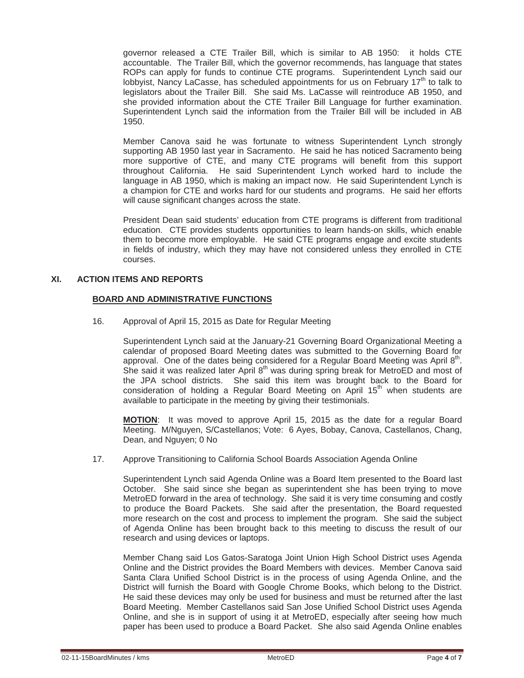governor released a CTE Trailer Bill, which is similar to AB 1950: it holds CTE accountable. The Trailer Bill, which the governor recommends, has language that states ROPs can apply for funds to continue CTE programs. Superintendent Lynch said our lobbyist, Nancy LaCasse, has scheduled appointments for us on February  $17<sup>th</sup>$  to talk to legislators about the Trailer Bill. She said Ms. LaCasse will reintroduce AB 1950, and she provided information about the CTE Trailer Bill Language for further examination. Superintendent Lynch said the information from the Trailer Bill will be included in AB 1950.

 Member Canova said he was fortunate to witness Superintendent Lynch strongly supporting AB 1950 last year in Sacramento. He said he has noticed Sacramento being more supportive of CTE, and many CTE programs will benefit from this support throughout California. He said Superintendent Lynch worked hard to include the language in AB 1950, which is making an impact now. He said Superintendent Lynch is a champion for CTE and works hard for our students and programs. He said her efforts will cause significant changes across the state.

 President Dean said students' education from CTE programs is different from traditional education. CTE provides students opportunities to learn hands-on skills, which enable them to become more employable. He said CTE programs engage and excite students in fields of industry, which they may have not considered unless they enrolled in CTE courses.

## **XI. ACTION ITEMS AND REPORTS**

### **BOARD AND ADMINISTRATIVE FUNCTIONS**

16. Approval of April 15, 2015 as Date for Regular Meeting

 Superintendent Lynch said at the January-21 Governing Board Organizational Meeting a calendar of proposed Board Meeting dates was submitted to the Governing Board for approval. One of the dates being considered for a Regular Board Meeting was April  $8<sup>th</sup>$ . She said it was realized later April  $8<sup>th</sup>$  was during spring break for MetroED and most of the JPA school districts. She said this item was brought back to the Board for consideration of holding a Regular Board Meeting on April  $15<sup>th</sup>$  when students are available to participate in the meeting by giving their testimonials.

**MOTION**: It was moved to approve April 15, 2015 as the date for a regular Board Meeting. M/Nguyen, S/Castellanos; Vote: 6 Ayes, Bobay, Canova, Castellanos, Chang, Dean, and Nguyen; 0 No

17. Approve Transitioning to California School Boards Association Agenda Online

 Superintendent Lynch said Agenda Online was a Board Item presented to the Board last October. She said since she began as superintendent she has been trying to move MetroED forward in the area of technology. She said it is very time consuming and costly to produce the Board Packets. She said after the presentation, the Board requested more research on the cost and process to implement the program. She said the subject of Agenda Online has been brought back to this meeting to discuss the result of our research and using devices or laptops.

 Member Chang said Los Gatos-Saratoga Joint Union High School District uses Agenda Online and the District provides the Board Members with devices. Member Canova said Santa Clara Unified School District is in the process of using Agenda Online, and the District will furnish the Board with Google Chrome Books, which belong to the District. He said these devices may only be used for business and must be returned after the last Board Meeting. Member Castellanos said San Jose Unified School District uses Agenda Online, and she is in support of using it at MetroED, especially after seeing how much paper has been used to produce a Board Packet. She also said Agenda Online enables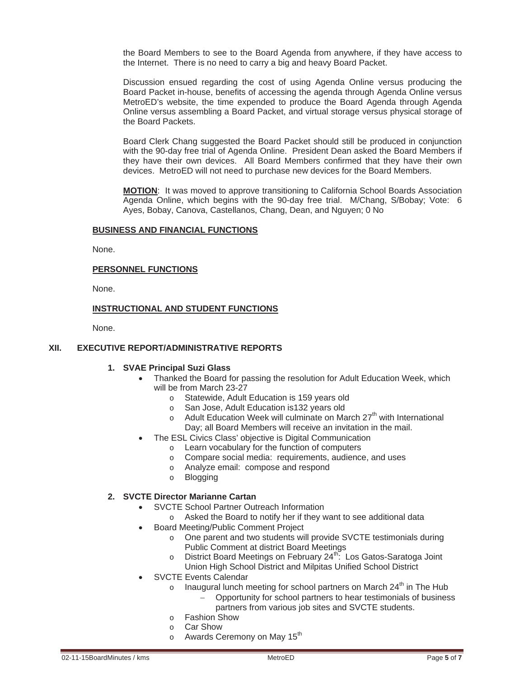the Board Members to see to the Board Agenda from anywhere, if they have access to the Internet. There is no need to carry a big and heavy Board Packet.

 Discussion ensued regarding the cost of using Agenda Online versus producing the Board Packet in-house, benefits of accessing the agenda through Agenda Online versus MetroED's website, the time expended to produce the Board Agenda through Agenda Online versus assembling a Board Packet, and virtual storage versus physical storage of the Board Packets.

 Board Clerk Chang suggested the Board Packet should still be produced in conjunction with the 90-day free trial of Agenda Online. President Dean asked the Board Members if they have their own devices. All Board Members confirmed that they have their own devices. MetroED will not need to purchase new devices for the Board Members.

**MOTION**: It was moved to approve transitioning to California School Boards Association Agenda Online, which begins with the 90-day free trial. M/Chang, S/Bobay; Vote: 6 Ayes, Bobay, Canova, Castellanos, Chang, Dean, and Nguyen; 0 No

### **BUSINESS AND FINANCIAL FUNCTIONS**

None.

### **PERSONNEL FUNCTIONS**

None.

## **INSTRUCTIONAL AND STUDENT FUNCTIONS**

None.

## **XII. EXECUTIVE REPORT/ADMINISTRATIVE REPORTS**

#### **1. SVAE Principal Suzi Glass**

- Thanked the Board for passing the resolution for Adult Education Week, which will be from March 23-27
	- o Statewide, Adult Education is 159 years old
	- o San Jose, Adult Education is132 years old
	- $\circ$  Adult Education Week will culminate on March 27<sup>th</sup> with International Day; all Board Members will receive an invitation in the mail.
- The ESL Civics Class' objective is Digital Communication
	- o Learn vocabulary for the function of computers
		- o Compare social media: requirements, audience, and uses
		- o Analyze email: compose and respond
		- o Blogging

### **2. SVCTE Director Marianne Cartan**

- SVCTE School Partner Outreach Information
	- o Asked the Board to notify her if they want to see additional data
- Board Meeting/Public Comment Project
	- o One parent and two students will provide SVCTE testimonials during Public Comment at district Board Meetings
	- $\circ$  District Board Meetings on February 24<sup>th</sup>: Los Gatos-Saratoga Joint
	- Union High School District and Milpitas Unified School District
- SVCTE Events Calendar
	- o Inaugural lunch meeting for school partners on March  $24<sup>th</sup>$  in The Hub
		- Opportunity for school partners to hear testimonials of business
		- partners from various job sites and SVCTE students.
	- o Fashion Show
	- o Car Show
	- $\circ$  Awards Ceremony on May 15<sup>th</sup>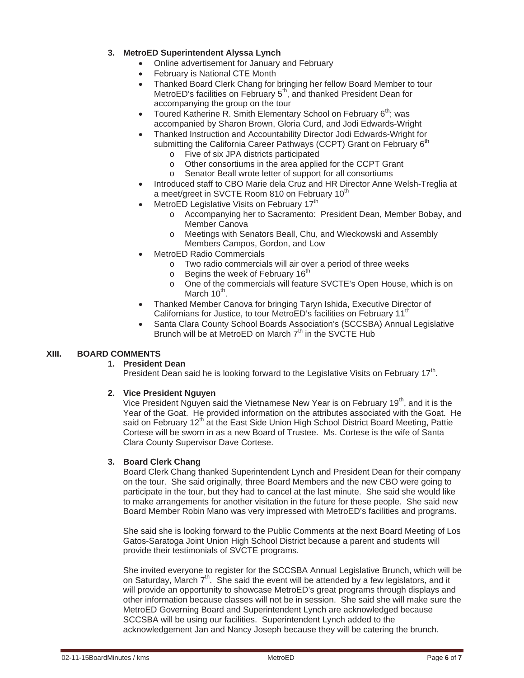## **3. MetroED Superintendent Alyssa Lynch**

- Online advertisement for January and February
- February is National CTE Month
- Thanked Board Clerk Chang for bringing her fellow Board Member to tour MetroED's facilities on February  $5<sup>th</sup>$ , and thanked President Dean for accompanying the group on the tour
- Toured Katherine R. Smith Elementary School on February 6<sup>th</sup>; was accompanied by Sharon Brown, Gloria Curd, and Jodi Edwards-Wright
- x Thanked Instruction and Accountability Director Jodi Edwards-Wright for submitting the California Career Pathways (CCPT) Grant on February 6<sup>th</sup>
	- o Five of six JPA districts participated
	- o Other consortiums in the area applied for the CCPT Grant
	- o Senator Beall wrote letter of support for all consortiums
- x Introduced staff to CBO Marie dela Cruz and HR Director Anne Welsh-Treglia at a meet/greet in SVCTE Room 810 on February 10<sup>th</sup>
- MetroED Legislative Visits on February 17<sup>th</sup>
	- o Accompanying her to Sacramento: President Dean, Member Bobay, and Member Canova
	- o Meetings with Senators Beall, Chu, and Wieckowski and Assembly Members Campos, Gordon, and Low
- MetroED Radio Commercials
	- o Two radio commercials will air over a period of three weeks
	- $\circ$  Begins the week of February 16<sup>th</sup>
	- o One of the commercials will feature SVCTE's Open House, which is on March  $10^{th}$ .
- x Thanked Member Canova for bringing Taryn Ishida, Executive Director of Californians for Justice, to tour MetroED's facilities on February 11<sup>th</sup>
- Santa Clara County School Boards Association's (SCCSBA) Annual Legislative Brunch will be at MetroED on March  $7<sup>th</sup>$  in the SVCTE Hub

# **XIII. BOARD COMMENTS**

## **1. President Dean**

President Dean said he is looking forward to the Legislative Visits on February  $17<sup>th</sup>$ .

## **2. Vice President Nguyen**

Vice President Nguyen said the Vietnamese New Year is on February  $19<sup>th</sup>$ , and it is the Year of the Goat. He provided information on the attributes associated with the Goat. He said on February  $12<sup>th</sup>$  at the East Side Union High School District Board Meeting, Pattie Cortese will be sworn in as a new Board of Trustee. Ms. Cortese is the wife of Santa Clara County Supervisor Dave Cortese.

## **3. Board Clerk Chang**

Board Clerk Chang thanked Superintendent Lynch and President Dean for their company on the tour. She said originally, three Board Members and the new CBO were going to participate in the tour, but they had to cancel at the last minute. She said she would like to make arrangements for another visitation in the future for these people. She said new Board Member Robin Mano was very impressed with MetroED's facilities and programs.

She said she is looking forward to the Public Comments at the next Board Meeting of Los Gatos-Saratoga Joint Union High School District because a parent and students will provide their testimonials of SVCTE programs.

She invited everyone to register for the SCCSBA Annual Legislative Brunch, which will be on Saturday, March  $7<sup>th</sup>$ . She said the event will be attended by a few legislators, and it will provide an opportunity to showcase MetroED's great programs through displays and other information because classes will not be in session. She said she will make sure the MetroED Governing Board and Superintendent Lynch are acknowledged because SCCSBA will be using our facilities. Superintendent Lynch added to the acknowledgement Jan and Nancy Joseph because they will be catering the brunch.